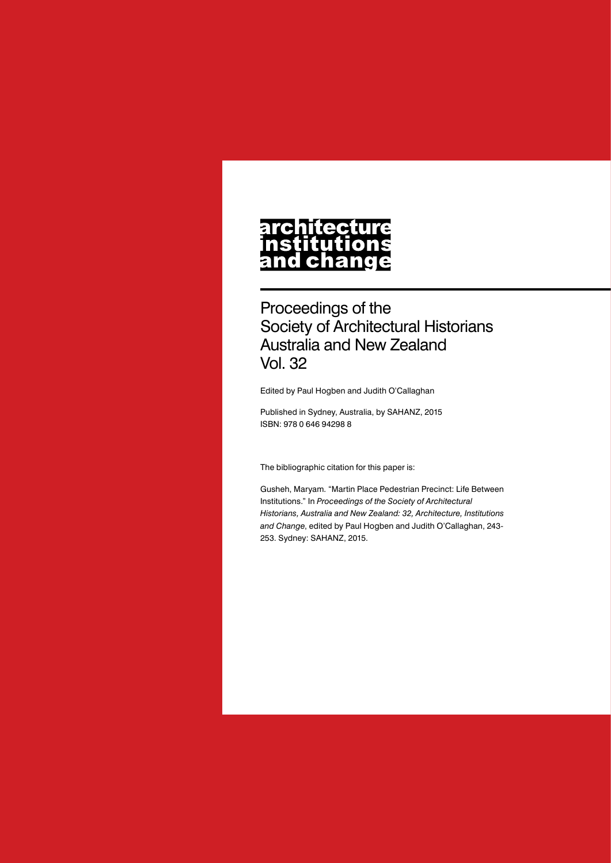# **architecture** nstitutions<br>nstitutions<br>and change

Proceedings of the Society of Architectural Historians Australia and New Zealand Vol. 32

Edited by Paul Hogben and Judith O'Callaghan

Published in Sydney, Australia, by SAHANZ, 2015 ISBN: 978 0 646 94298 8

The bibliographic citation for this paper is:

Gusheh, Maryam. "Martin Place Pedestrian Precinct: Life Between Institutions." In *Proceedings of the Society of Architectural Historians, Australia and New Zealand: 32, Architecture, Institutions and Change*, edited by Paul Hogben and Judith O'Callaghan, 243- 253. Sydney: SAHANZ, 2015.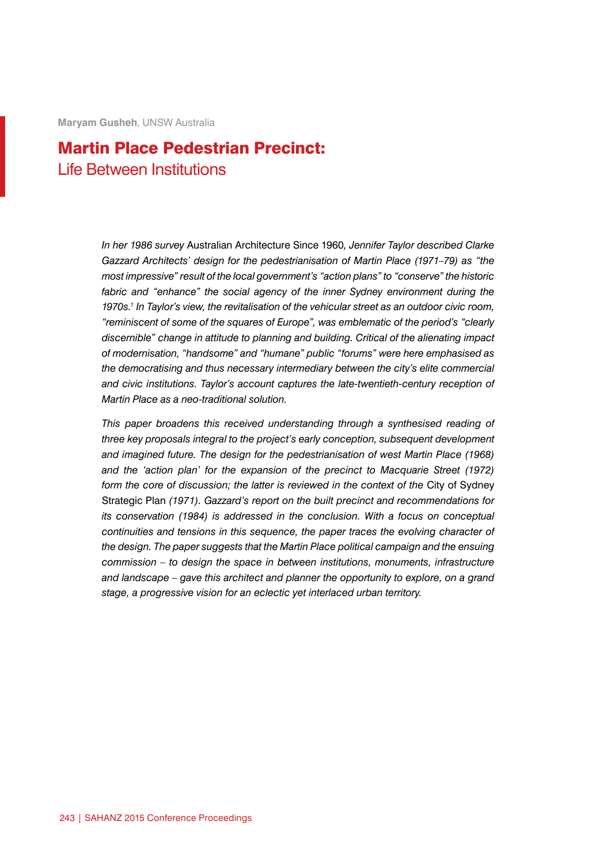**Maryam Gusheh**, UNSW Australia

# Martin Place Pedestrian Precinct: Life Between Institutions

*In her 1986 survey* Australian Architecture Since 1960*, Jennifer Taylor described Clarke Gazzard Architects' design for the pedestrianisation of Martin Place (1971–79) as "the most impressive" result of the local government's "action plans" to "conserve" the historic*  fabric and "enhance" the social agency of the inner Sydney environment during the *1970s.1 In Taylor's view, the revitalisation of the vehicular street as an outdoor civic room, "reminiscent of some of the squares of Europe", was emblematic of the period's "clearly discernible" change in attitude to planning and building. Critical of the alienating impact of modernisation, "handsome" and "humane" public "forums" were here emphasised as the democratising and thus necessary intermediary between the city's elite commercial and civic institutions. Taylor's account captures the late-twentieth-century reception of Martin Place as a neo-traditional solution.*

This paper broadens this received understanding through a synthesised reading of *three key proposals integral to the project's early conception, subsequent development and imagined future. The design for the pedestrianisation of west Martin Place (1968)*  and the 'action plan' for the expansion of the precinct to Macquarie Street (1972) form the core of discussion; the latter is reviewed in the context of the City of Sydney Strategic Plan *(1971). Gazzard's report on the built precinct and recommendations for its conservation (1984) is addressed in the conclusion. With a focus on conceptual continuities and tensions in this sequence, the paper traces the evolving character of the design. The paper suggests that the Martin Place political campaign and the ensuing commission – to design the space in between institutions, monuments, infrastructure and landscape – gave this architect and planner the opportunity to explore, on a grand stage, a progressive vision for an eclectic yet interlaced urban territory.*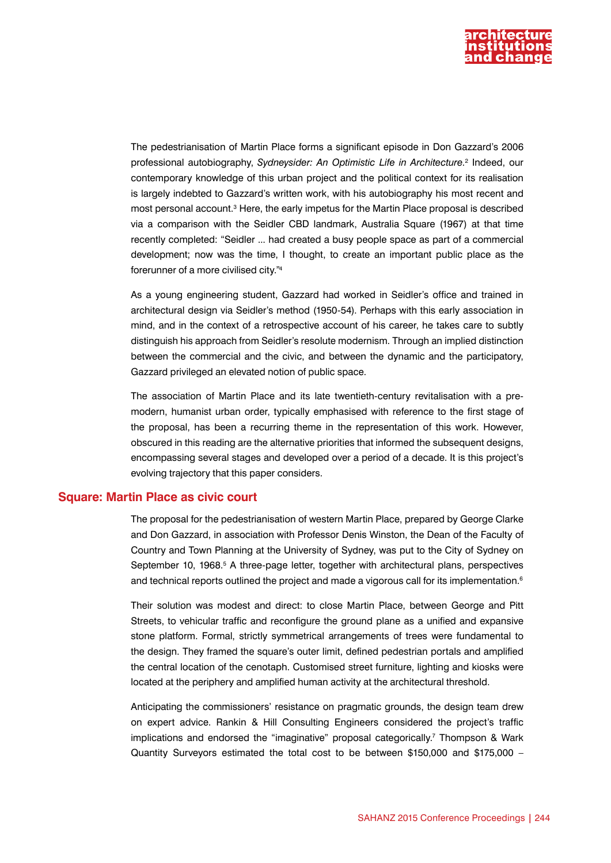

The pedestrianisation of Martin Place forms a significant episode in Don Gazzard's 2006 professional autobiography, *Sydneysider: An Optimistic Life in Architecture*. 2 Indeed, our contemporary knowledge of this urban project and the political context for its realisation is largely indebted to Gazzard's written work, with his autobiography his most recent and most personal account.<sup>3</sup> Here, the early impetus for the Martin Place proposal is described via a comparison with the Seidler CBD landmark, Australia Square (1967) at that time recently completed: "Seidler ... had created a busy people space as part of a commercial development; now was the time, I thought, to create an important public place as the forerunner of a more civilised city."4

As a young engineering student, Gazzard had worked in Seidler's office and trained in architectural design via Seidler's method (1950-54). Perhaps with this early association in mind, and in the context of a retrospective account of his career, he takes care to subtly distinguish his approach from Seidler's resolute modernism. Through an implied distinction between the commercial and the civic, and between the dynamic and the participatory, Gazzard privileged an elevated notion of public space.

The association of Martin Place and its late twentieth-century revitalisation with a premodern, humanist urban order, typically emphasised with reference to the first stage of the proposal, has been a recurring theme in the representation of this work. However, obscured in this reading are the alternative priorities that informed the subsequent designs, encompassing several stages and developed over a period of a decade. It is this project's evolving trajectory that this paper considers.

#### **Square: Martin Place as civic court**

The proposal for the pedestrianisation of western Martin Place, prepared by George Clarke and Don Gazzard, in association with Professor Denis Winston, the Dean of the Faculty of Country and Town Planning at the University of Sydney, was put to the City of Sydney on September 10, 1968.<sup>5</sup> A three-page letter, together with architectural plans, perspectives and technical reports outlined the project and made a vigorous call for its implementation.<sup>6</sup>

Their solution was modest and direct: to close Martin Place, between George and Pitt Streets, to vehicular traffic and reconfigure the ground plane as a unified and expansive stone platform. Formal, strictly symmetrical arrangements of trees were fundamental to the design. They framed the square's outer limit, defined pedestrian portals and amplified the central location of the cenotaph. Customised street furniture, lighting and kiosks were located at the periphery and amplified human activity at the architectural threshold.

Anticipating the commissioners' resistance on pragmatic grounds, the design team drew on expert advice. Rankin & Hill Consulting Engineers considered the project's traffic implications and endorsed the "imaginative" proposal categorically.7 Thompson & Wark Quantity Surveyors estimated the total cost to be between \$150,000 and \$175,000 –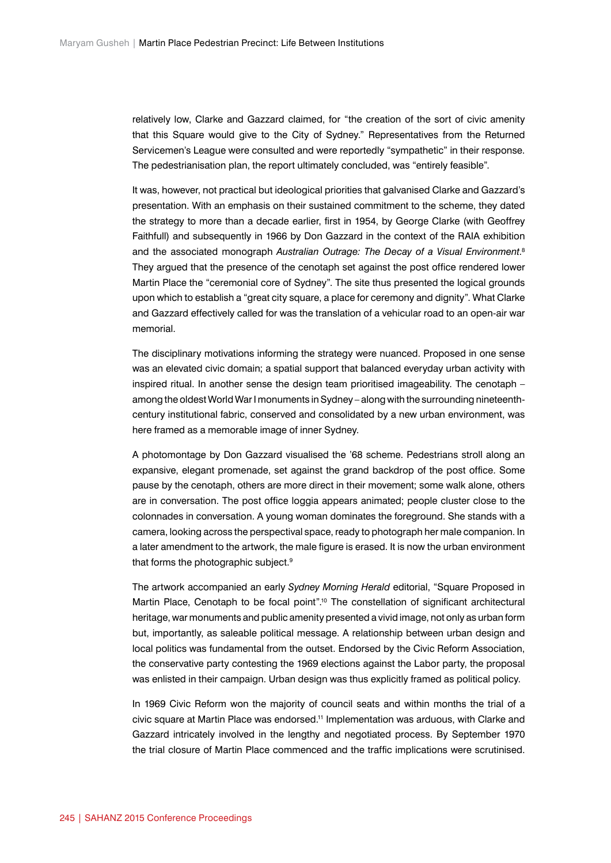relatively low, Clarke and Gazzard claimed, for "the creation of the sort of civic amenity that this Square would give to the City of Sydney." Representatives from the Returned Servicemen's League were consulted and were reportedly "sympathetic" in their response. The pedestrianisation plan, the report ultimately concluded, was "entirely feasible".

It was, however, not practical but ideological priorities that galvanised Clarke and Gazzard's presentation. With an emphasis on their sustained commitment to the scheme, they dated the strategy to more than a decade earlier, first in 1954, by George Clarke (with Geoffrey Faithfull) and subsequently in 1966 by Don Gazzard in the context of the RAIA exhibition and the associated monograph *Australian Outrage: The Decay of a Visual Environment*. 8 They argued that the presence of the cenotaph set against the post office rendered lower Martin Place the "ceremonial core of Sydney". The site thus presented the logical grounds upon which to establish a "great city square, a place for ceremony and dignity". What Clarke and Gazzard effectively called for was the translation of a vehicular road to an open-air war memorial.

The disciplinary motivations informing the strategy were nuanced. Proposed in one sense was an elevated civic domain; a spatial support that balanced everyday urban activity with inspired ritual. In another sense the design team prioritised imageability. The cenotaph – among the oldest World War I monuments in Sydney – along with the surrounding nineteenthcentury institutional fabric, conserved and consolidated by a new urban environment, was here framed as a memorable image of inner Sydney.

A photomontage by Don Gazzard visualised the '68 scheme. Pedestrians stroll along an expansive, elegant promenade, set against the grand backdrop of the post office. Some pause by the cenotaph, others are more direct in their movement; some walk alone, others are in conversation. The post office loggia appears animated; people cluster close to the colonnades in conversation. A young woman dominates the foreground. She stands with a camera, looking across the perspectival space, ready to photograph her male companion. In a later amendment to the artwork, the male figure is erased. It is now the urban environment that forms the photographic subject.<sup>9</sup>

The artwork accompanied an early *Sydney Morning Herald* editorial, "Square Proposed in Martin Place, Cenotaph to be focal point".<sup>10</sup> The constellation of significant architectural heritage, war monuments and public amenity presented a vivid image, not only as urban form but, importantly, as saleable political message. A relationship between urban design and local politics was fundamental from the outset. Endorsed by the Civic Reform Association, the conservative party contesting the 1969 elections against the Labor party, the proposal was enlisted in their campaign. Urban design was thus explicitly framed as political policy.

In 1969 Civic Reform won the majority of council seats and within months the trial of a civic square at Martin Place was endorsed.11 Implementation was arduous, with Clarke and Gazzard intricately involved in the lengthy and negotiated process. By September 1970 the trial closure of Martin Place commenced and the traffic implications were scrutinised.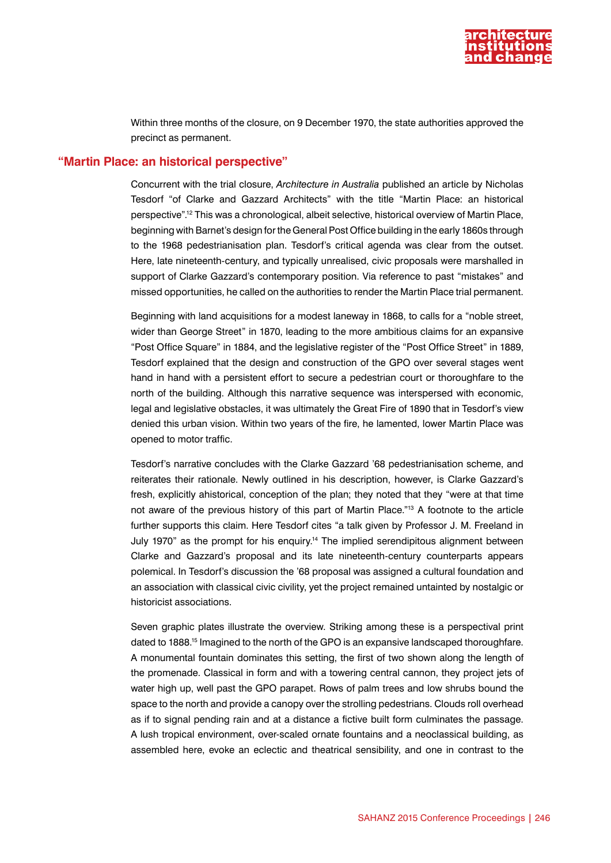

Within three months of the closure, on 9 December 1970, the state authorities approved the precinct as permanent.

#### **"Martin Place: an historical perspective"**

Concurrent with the trial closure, *Architecture in Australia* published an article by Nicholas Tesdorf "of Clarke and Gazzard Architects" with the title "Martin Place: an historical perspective".12 This was a chronological, albeit selective, historical overview of Martin Place, beginning with Barnet's design for the General Post Office building in the early 1860s through to the 1968 pedestrianisation plan. Tesdorf's critical agenda was clear from the outset. Here, late nineteenth-century, and typically unrealised, civic proposals were marshalled in support of Clarke Gazzard's contemporary position. Via reference to past "mistakes" and missed opportunities, he called on the authorities to render the Martin Place trial permanent.

Beginning with land acquisitions for a modest laneway in 1868, to calls for a "noble street, wider than George Street" in 1870, leading to the more ambitious claims for an expansive "Post Office Square" in 1884, and the legislative register of the "Post Office Street" in 1889, Tesdorf explained that the design and construction of the GPO over several stages went hand in hand with a persistent effort to secure a pedestrian court or thoroughfare to the north of the building. Although this narrative sequence was interspersed with economic, legal and legislative obstacles, it was ultimately the Great Fire of 1890 that in Tesdorf's view denied this urban vision. Within two years of the fire, he lamented, lower Martin Place was opened to motor traffic.

Tesdorf's narrative concludes with the Clarke Gazzard '68 pedestrianisation scheme, and reiterates their rationale. Newly outlined in his description, however, is Clarke Gazzard's fresh, explicitly ahistorical, conception of the plan; they noted that they "were at that time not aware of the previous history of this part of Martin Place."13 A footnote to the article further supports this claim. Here Tesdorf cites "a talk given by Professor J. M. Freeland in July 1970" as the prompt for his enquiry.14 The implied serendipitous alignment between Clarke and Gazzard's proposal and its late nineteenth-century counterparts appears polemical. In Tesdorf's discussion the '68 proposal was assigned a cultural foundation and an association with classical civic civility, yet the project remained untainted by nostalgic or historicist associations.

Seven graphic plates illustrate the overview. Striking among these is a perspectival print dated to 1888.15 Imagined to the north of the GPO is an expansive landscaped thoroughfare. A monumental fountain dominates this setting, the first of two shown along the length of the promenade. Classical in form and with a towering central cannon, they project jets of water high up, well past the GPO parapet. Rows of palm trees and low shrubs bound the space to the north and provide a canopy over the strolling pedestrians. Clouds roll overhead as if to signal pending rain and at a distance a fictive built form culminates the passage. A lush tropical environment, over-scaled ornate fountains and a neoclassical building, as assembled here, evoke an eclectic and theatrical sensibility, and one in contrast to the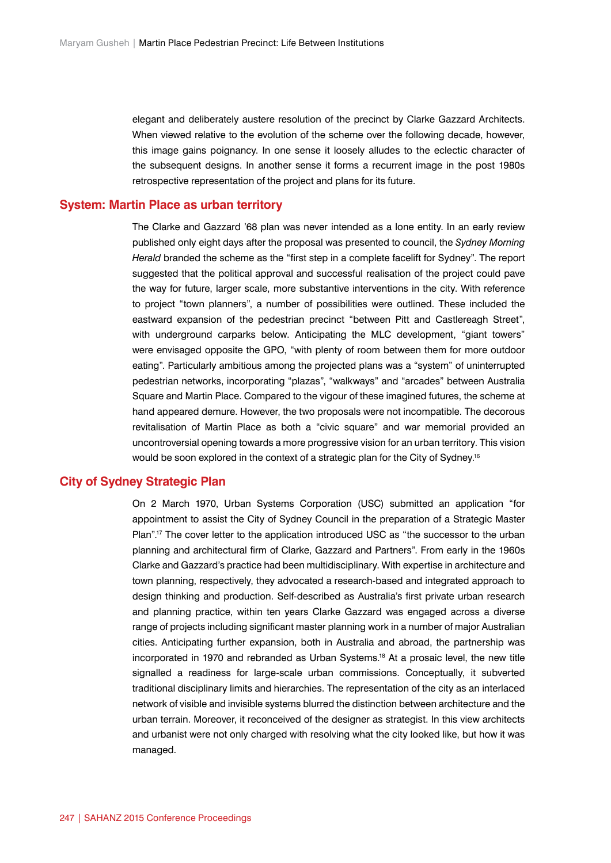elegant and deliberately austere resolution of the precinct by Clarke Gazzard Architects. When viewed relative to the evolution of the scheme over the following decade, however, this image gains poignancy. In one sense it loosely alludes to the eclectic character of the subsequent designs. In another sense it forms a recurrent image in the post 1980s retrospective representation of the project and plans for its future.

#### **System: Martin Place as urban territory**

The Clarke and Gazzard '68 plan was never intended as a lone entity. In an early review published only eight days after the proposal was presented to council, the *Sydney Morning Herald* branded the scheme as the "first step in a complete facelift for Sydney". The report suggested that the political approval and successful realisation of the project could pave the way for future, larger scale, more substantive interventions in the city. With reference to project "town planners", a number of possibilities were outlined. These included the eastward expansion of the pedestrian precinct "between Pitt and Castlereagh Street", with underground carparks below. Anticipating the MLC development, "giant towers" were envisaged opposite the GPO, "with plenty of room between them for more outdoor eating". Particularly ambitious among the projected plans was a "system" of uninterrupted pedestrian networks, incorporating "plazas", "walkways" and "arcades" between Australia Square and Martin Place. Compared to the vigour of these imagined futures, the scheme at hand appeared demure. However, the two proposals were not incompatible. The decorous revitalisation of Martin Place as both a "civic square" and war memorial provided an uncontroversial opening towards a more progressive vision for an urban territory. This vision would be soon explored in the context of a strategic plan for the City of Sydney.<sup>16</sup>

## **City of Sydney Strategic Plan**

On 2 March 1970, Urban Systems Corporation (USC) submitted an application "for appointment to assist the City of Sydney Council in the preparation of a Strategic Master Plan".<sup>17</sup> The cover letter to the application introduced USC as "the successor to the urban planning and architectural firm of Clarke, Gazzard and Partners". From early in the 1960s Clarke and Gazzard's practice had been multidisciplinary. With expertise in architecture and town planning, respectively, they advocated a research-based and integrated approach to design thinking and production. Self-described as Australia's first private urban research and planning practice, within ten years Clarke Gazzard was engaged across a diverse range of projects including significant master planning work in a number of major Australian cities. Anticipating further expansion, both in Australia and abroad, the partnership was incorporated in 1970 and rebranded as Urban Systems.18 At a prosaic level, the new title signalled a readiness for large-scale urban commissions. Conceptually, it subverted traditional disciplinary limits and hierarchies. The representation of the city as an interlaced network of visible and invisible systems blurred the distinction between architecture and the urban terrain. Moreover, it reconceived of the designer as strategist. In this view architects and urbanist were not only charged with resolving what the city looked like, but how it was managed.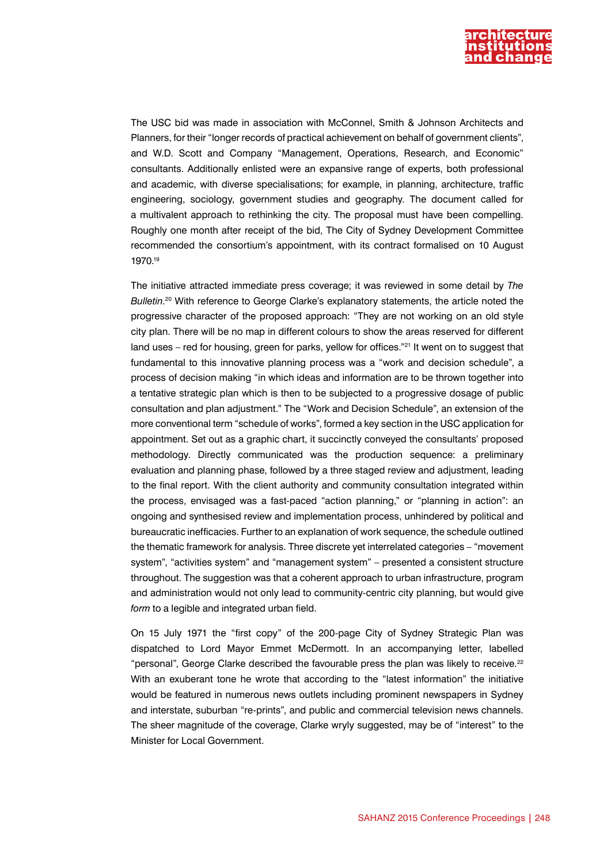

The USC bid was made in association with McConnel, Smith & Johnson Architects and Planners, for their "longer records of practical achievement on behalf of government clients", and W.D. Scott and Company "Management, Operations, Research, and Economic" consultants. Additionally enlisted were an expansive range of experts, both professional and academic, with diverse specialisations; for example, in planning, architecture, traffic engineering, sociology, government studies and geography. The document called for a multivalent approach to rethinking the city. The proposal must have been compelling. Roughly one month after receipt of the bid, The City of Sydney Development Committee recommended the consortium's appointment, with its contract formalised on 10 August 1970.19

The initiative attracted immediate press coverage; it was reviewed in some detail by *The Bulletin*. 20 With reference to George Clarke's explanatory statements, the article noted the progressive character of the proposed approach: "They are not working on an old style city plan. There will be no map in different colours to show the areas reserved for different land uses - red for housing, green for parks, yellow for offices."<sup>21</sup> It went on to suggest that fundamental to this innovative planning process was a "work and decision schedule", a process of decision making "in which ideas and information are to be thrown together into a tentative strategic plan which is then to be subjected to a progressive dosage of public consultation and plan adjustment." The "Work and Decision Schedule", an extension of the more conventional term "schedule of works", formed a key section in the USC application for appointment. Set out as a graphic chart, it succinctly conveyed the consultants' proposed methodology. Directly communicated was the production sequence: a preliminary evaluation and planning phase, followed by a three staged review and adjustment, leading to the final report. With the client authority and community consultation integrated within the process, envisaged was a fast-paced "action planning," or "planning in action": an ongoing and synthesised review and implementation process, unhindered by political and bureaucratic inefficacies. Further to an explanation of work sequence, the schedule outlined the thematic framework for analysis. Three discrete yet interrelated categories – "movement system", "activities system" and "management system" – presented a consistent structure throughout. The suggestion was that a coherent approach to urban infrastructure, program and administration would not only lead to community-centric city planning, but would give *form* to a legible and integrated urban field.

On 15 July 1971 the "first copy" of the 200-page City of Sydney Strategic Plan was dispatched to Lord Mayor Emmet McDermott. In an accompanying letter, labelled "personal", George Clarke described the favourable press the plan was likely to receive.<sup>22</sup> With an exuberant tone he wrote that according to the "latest information" the initiative would be featured in numerous news outlets including prominent newspapers in Sydney and interstate, suburban "re-prints", and public and commercial television news channels. The sheer magnitude of the coverage, Clarke wryly suggested, may be of "interest" to the Minister for Local Government.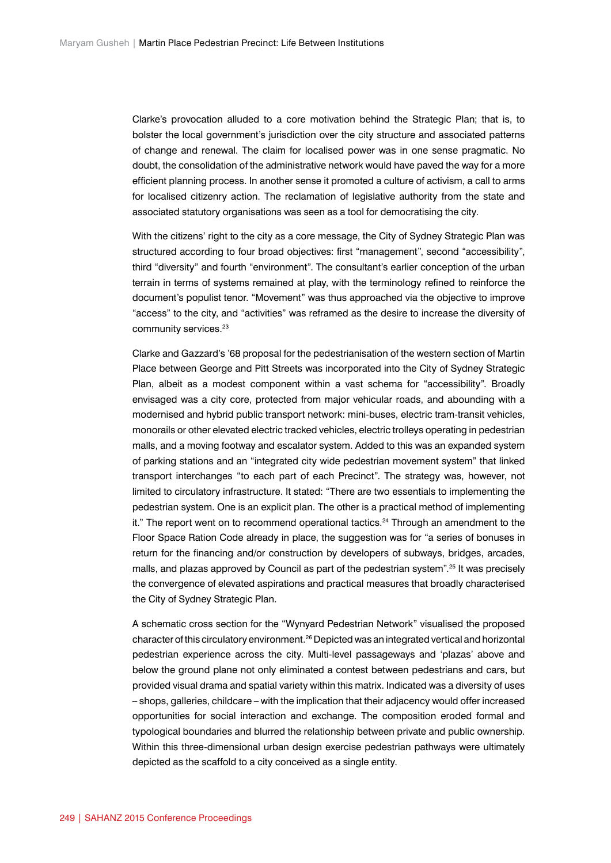Clarke's provocation alluded to a core motivation behind the Strategic Plan; that is, to bolster the local government's jurisdiction over the city structure and associated patterns of change and renewal. The claim for localised power was in one sense pragmatic. No doubt, the consolidation of the administrative network would have paved the way for a more efficient planning process. In another sense it promoted a culture of activism, a call to arms for localised citizenry action. The reclamation of legislative authority from the state and associated statutory organisations was seen as a tool for democratising the city.

With the citizens' right to the city as a core message, the City of Sydney Strategic Plan was structured according to four broad objectives: first "management", second "accessibility", third "diversity" and fourth "environment". The consultant's earlier conception of the urban terrain in terms of systems remained at play, with the terminology refined to reinforce the document's populist tenor. "Movement" was thus approached via the objective to improve "access" to the city, and "activities" was reframed as the desire to increase the diversity of community services.<sup>23</sup>

Clarke and Gazzard's '68 proposal for the pedestrianisation of the western section of Martin Place between George and Pitt Streets was incorporated into the City of Sydney Strategic Plan, albeit as a modest component within a vast schema for "accessibility". Broadly envisaged was a city core, protected from major vehicular roads, and abounding with a modernised and hybrid public transport network: mini-buses, electric tram-transit vehicles, monorails or other elevated electric tracked vehicles, electric trolleys operating in pedestrian malls, and a moving footway and escalator system. Added to this was an expanded system of parking stations and an "integrated city wide pedestrian movement system" that linked transport interchanges "to each part of each Precinct". The strategy was, however, not limited to circulatory infrastructure. It stated: "There are two essentials to implementing the pedestrian system. One is an explicit plan. The other is a practical method of implementing it." The report went on to recommend operational tactics.<sup>24</sup> Through an amendment to the Floor Space Ration Code already in place, the suggestion was for "a series of bonuses in return for the financing and/or construction by developers of subways, bridges, arcades, malls, and plazas approved by Council as part of the pedestrian system".<sup>25</sup> It was precisely the convergence of elevated aspirations and practical measures that broadly characterised the City of Sydney Strategic Plan.

A schematic cross section for the "Wynyard Pedestrian Network" visualised the proposed character of this circulatory environment.26 Depicted was an integrated vertical and horizontal pedestrian experience across the city. Multi-level passageways and 'plazas' above and below the ground plane not only eliminated a contest between pedestrians and cars, but provided visual drama and spatial variety within this matrix. Indicated was a diversity of uses – shops, galleries, childcare – with the implication that their adjacency would offer increased opportunities for social interaction and exchange. The composition eroded formal and typological boundaries and blurred the relationship between private and public ownership. Within this three-dimensional urban design exercise pedestrian pathways were ultimately depicted as the scaffold to a city conceived as a single entity.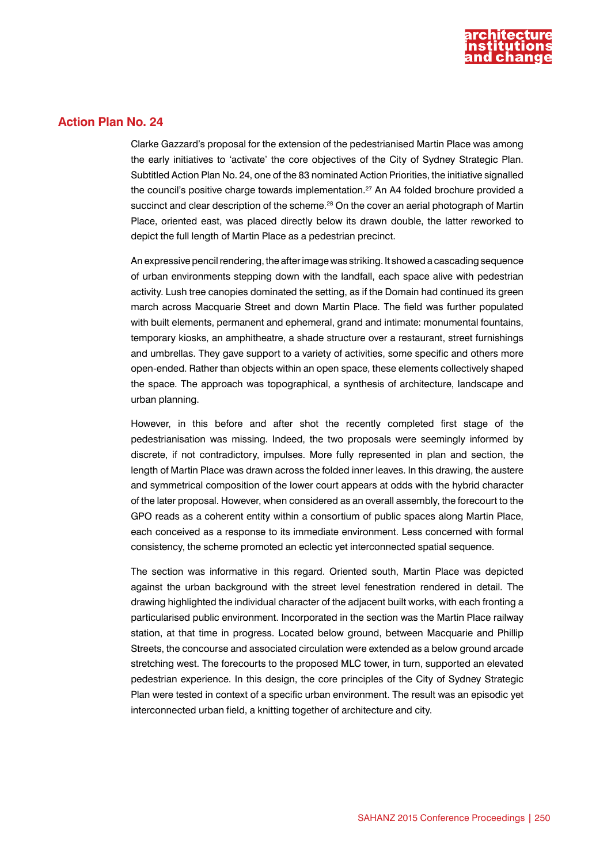

# **Action Plan No. 24**

Clarke Gazzard's proposal for the extension of the pedestrianised Martin Place was among the early initiatives to 'activate' the core objectives of the City of Sydney Strategic Plan. Subtitled Action Plan No. 24, one of the 83 nominated Action Priorities, the initiative signalled the council's positive charge towards implementation.27 An A4 folded brochure provided a succinct and clear description of the scheme.<sup>28</sup> On the cover an aerial photograph of Martin Place, oriented east, was placed directly below its drawn double, the latter reworked to depict the full length of Martin Place as a pedestrian precinct.

An expressive pencil rendering, the after image was striking. It showed a cascading sequence of urban environments stepping down with the landfall, each space alive with pedestrian activity. Lush tree canopies dominated the setting, as if the Domain had continued its green march across Macquarie Street and down Martin Place. The field was further populated with built elements, permanent and ephemeral, grand and intimate: monumental fountains, temporary kiosks, an amphitheatre, a shade structure over a restaurant, street furnishings and umbrellas. They gave support to a variety of activities, some specific and others more open-ended. Rather than objects within an open space, these elements collectively shaped the space. The approach was topographical, a synthesis of architecture, landscape and urban planning.

However, in this before and after shot the recently completed first stage of the pedestrianisation was missing. Indeed, the two proposals were seemingly informed by discrete, if not contradictory, impulses. More fully represented in plan and section, the length of Martin Place was drawn across the folded inner leaves. In this drawing, the austere and symmetrical composition of the lower court appears at odds with the hybrid character of the later proposal. However, when considered as an overall assembly, the forecourt to the GPO reads as a coherent entity within a consortium of public spaces along Martin Place, each conceived as a response to its immediate environment. Less concerned with formal consistency, the scheme promoted an eclectic yet interconnected spatial sequence.

The section was informative in this regard. Oriented south, Martin Place was depicted against the urban background with the street level fenestration rendered in detail. The drawing highlighted the individual character of the adjacent built works, with each fronting a particularised public environment. Incorporated in the section was the Martin Place railway station, at that time in progress. Located below ground, between Macquarie and Phillip Streets, the concourse and associated circulation were extended as a below ground arcade stretching west. The forecourts to the proposed MLC tower, in turn, supported an elevated pedestrian experience. In this design, the core principles of the City of Sydney Strategic Plan were tested in context of a specific urban environment. The result was an episodic yet interconnected urban field, a knitting together of architecture and city.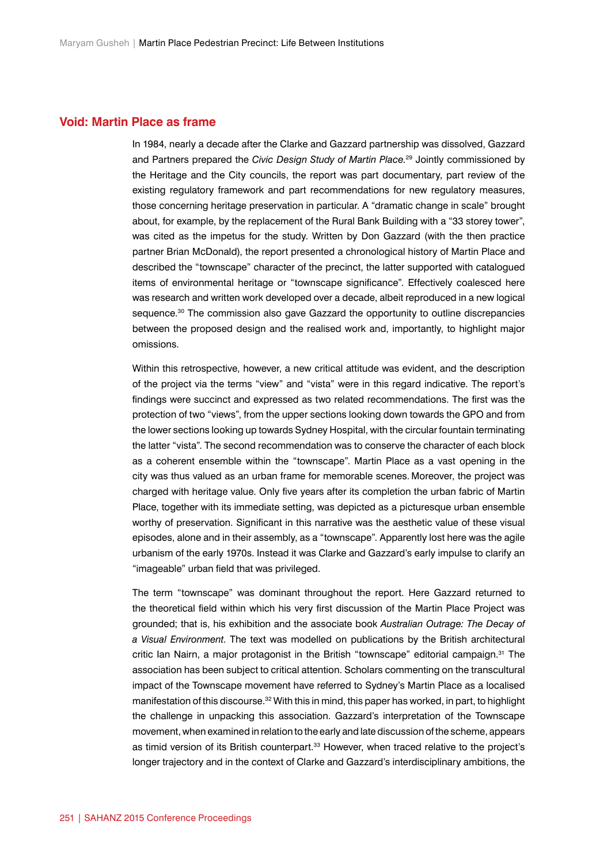### **Void: Martin Place as frame**

In 1984, nearly a decade after the Clarke and Gazzard partnership was dissolved, Gazzard and Partners prepared the *Civic Design Study of Martin Place.*<sup>29</sup> Jointly commissioned by the Heritage and the City councils, the report was part documentary, part review of the existing regulatory framework and part recommendations for new regulatory measures, those concerning heritage preservation in particular. A "dramatic change in scale" brought about, for example, by the replacement of the Rural Bank Building with a "33 storey tower", was cited as the impetus for the study. Written by Don Gazzard (with the then practice partner Brian McDonald), the report presented a chronological history of Martin Place and described the "townscape" character of the precinct, the latter supported with catalogued items of environmental heritage or "townscape significance". Effectively coalesced here was research and written work developed over a decade, albeit reproduced in a new logical sequence.<sup>30</sup> The commission also gave Gazzard the opportunity to outline discrepancies between the proposed design and the realised work and, importantly, to highlight major omissions.

Within this retrospective, however, a new critical attitude was evident, and the description of the project via the terms "view" and "vista" were in this regard indicative. The report's findings were succinct and expressed as two related recommendations. The first was the protection of two "views", from the upper sections looking down towards the GPO and from the lower sections looking up towards Sydney Hospital, with the circular fountain terminating the latter "vista". The second recommendation was to conserve the character of each block as a coherent ensemble within the "townscape". Martin Place as a vast opening in the city was thus valued as an urban frame for memorable scenes. Moreover, the project was charged with heritage value. Only five years after its completion the urban fabric of Martin Place, together with its immediate setting, was depicted as a picturesque urban ensemble worthy of preservation. Significant in this narrative was the aesthetic value of these visual episodes, alone and in their assembly, as a "townscape". Apparently lost here was the agile urbanism of the early 1970s. Instead it was Clarke and Gazzard's early impulse to clarify an "imageable" urban field that was privileged.

The term "townscape" was dominant throughout the report. Here Gazzard returned to the theoretical field within which his very first discussion of the Martin Place Project was grounded; that is, his exhibition and the associate book *Australian Outrage: The Decay of a Visual Environment*. The text was modelled on publications by the British architectural critic Ian Nairn, a major protagonist in the British "townscape" editorial campaign.<sup>31</sup> The association has been subject to critical attention. Scholars commenting on the transcultural impact of the Townscape movement have referred to Sydney's Martin Place as a localised manifestation of this discourse.<sup>32</sup> With this in mind, this paper has worked, in part, to highlight the challenge in unpacking this association. Gazzard's interpretation of the Townscape movement, when examined in relation to the early and late discussion of the scheme, appears as timid version of its British counterpart.<sup>33</sup> However, when traced relative to the project's longer trajectory and in the context of Clarke and Gazzard's interdisciplinary ambitions, the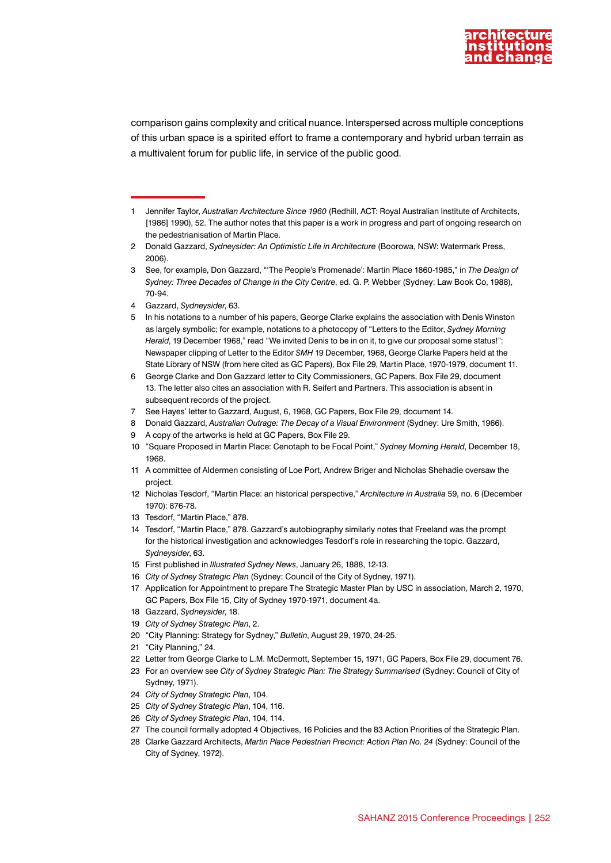

comparison gains complexity and critical nuance. Interspersed across multiple conceptions of this urban space is a spirited effort to frame a contemporary and hybrid urban terrain as a multivalent forum for public life, in service of the public good.

4 Gazzard, *Sydneysider*, 63.

- 7 See Hayes' letter to Gazzard, August, 6, 1968, GC Papers, Box File 29, document 14.
- 8 Donald Gazzard, *Australian Outrage: The Decay of a Visual Environment* (Sydney: Ure Smith, 1966).
- 9 A copy of the artworks is held at GC Papers, Box File 29.
- 10 "Square Proposed in Martin Place: Cenotaph to be Focal Point," *Sydney Morning Herald*, December 18, 1968.
- 11 A committee of Aldermen consisting of Loe Port, Andrew Briger and Nicholas Shehadie oversaw the project.
- 12 Nicholas Tesdorf, "Martin Place: an historical perspective," *Architecture in Australia* 59, no. 6 (December 1970): 876-78.
- 13 Tesdorf, "Martin Place," 878.
- 14 Tesdorf, "Martin Place," 878. Gazzard's autobiography similarly notes that Freeland was the prompt for the historical investigation and acknowledges Tesdorf's role in researching the topic. Gazzard, *Sydneysider*, 63.
- 15 First published in *Illustrated Sydney News*, January 26, 1888, 12-13.
- 16 *City of Sydney Strategic Plan* (Sydney: Council of the City of Sydney, 1971).
- 17 Application for Appointment to prepare The Strategic Master Plan by USC in association, March 2, 1970, GC Papers, Box File 15, City of Sydney 1970-1971, document 4a.
- 18 Gazzard, *Sydneysider*, 18.
- 19 *City of Sydney Strategic Plan*, 2.
- 20 "City Planning: Strategy for Sydney," *Bulletin*, August 29, 1970, 24-25.
- 21 "City Planning," 24.
- 22 Letter from George Clarke to L.M. McDermott, September 15, 1971, GC Papers, Box File 29, document 76.
- 23 For an overview see *City of Sydney Strategic Plan: The Strategy Summarised* (Sydney: Council of City of Sydney, 1971).
- 24 *City of Sydney Strategic Plan*, 104.
- 25 *City of Sydney Strategic Plan*, 104, 116.
- 26 *City of Sydney Strategic Plan*, 104, 114.
- 27 The council formally adopted 4 Objectives, 16 Policies and the 83 Action Priorities of the Strategic Plan.
- 28 Clarke Gazzard Architects, *Martin Place Pedestrian Precinct: Action Plan No. 24* (Sydney: Council of the City of Sydney, 1972).

<sup>1</sup> Jennifer Taylor, *Australian Architecture Since 1960* (Redhill, ACT: Royal Australian Institute of Architects, [1986] 1990), 52. The author notes that this paper is a work in progress and part of ongoing research on the pedestrianisation of Martin Place.

<sup>2</sup> Donald Gazzard, *Sydneysider: An Optimistic Life in Architecture* (Boorowa, NSW: Watermark Press, 2006).

<sup>3</sup> See, for example, Don Gazzard, "'The People's Promenade': Martin Place 1860-1985," in *The Design of Sydney: Three Decades of Change in the City Centre*, ed. G. P. Webber (Sydney: Law Book Co, 1988), 70-94.

<sup>5</sup> In his notations to a number of his papers, George Clarke explains the association with Denis Winston as largely symbolic; for example, notations to a photocopy of "Letters to the Editor, *Sydney Morning Herald*, 19 December 1968," read "We invited Denis to be in on it, to give our proposal some status!": Newspaper clipping of Letter to the Editor *SMH* 19 December, 1968, George Clarke Papers held at the State Library of NSW (from here cited as GC Papers), Box File 29, Martin Place, 1970-1979, document 11.

<sup>6</sup> George Clarke and Don Gazzard letter to City Commissioners, GC Papers, Box File 29, document 13. The letter also cites an association with R. Seifert and Partners. This association is absent in subsequent records of the project.